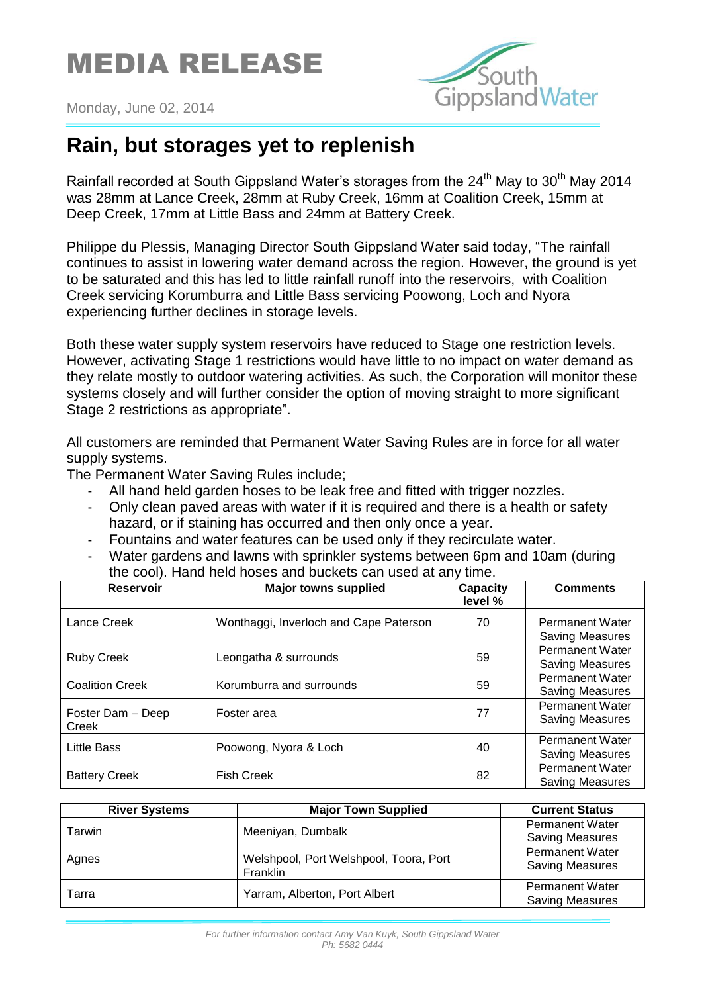## MEDIA RELEASE



Monday, June 02, 2014

## **Rain, but storages yet to replenish**

Rainfall recorded at South Gippsland Water's storages from the  $24<sup>th</sup>$  May to  $30<sup>th</sup>$  May 2014 was 28mm at Lance Creek, 28mm at Ruby Creek, 16mm at Coalition Creek, 15mm at Deep Creek, 17mm at Little Bass and 24mm at Battery Creek.

Philippe du Plessis, Managing Director South Gippsland Water said today, "The rainfall continues to assist in lowering water demand across the region. However, the ground is yet to be saturated and this has led to little rainfall runoff into the reservoirs, with Coalition Creek servicing Korumburra and Little Bass servicing Poowong, Loch and Nyora experiencing further declines in storage levels.

Both these water supply system reservoirs have reduced to Stage one restriction levels. However, activating Stage 1 restrictions would have little to no impact on water demand as they relate mostly to outdoor watering activities. As such, the Corporation will monitor these systems closely and will further consider the option of moving straight to more significant Stage 2 restrictions as appropriate".

All customers are reminded that Permanent Water Saving Rules are in force for all water supply systems.

The Permanent Water Saving Rules include;

- All hand held garden hoses to be leak free and fitted with trigger nozzles.
- Only clean paved areas with water if it is required and there is a health or safety hazard, or if staining has occurred and then only once a year.
- Fountains and water features can be used only if they recirculate water.
- Water gardens and lawns with sprinkler systems between 6pm and 10am (during the cool). Hand held hoses and buckets can used at any time.

| <b>Reservoir</b>           | <b>Major towns supplied</b>            | Capacity<br>level % | <b>Comments</b>                                  |
|----------------------------|----------------------------------------|---------------------|--------------------------------------------------|
| Lance Creek                | Wonthaggi, Inverloch and Cape Paterson | 70                  | <b>Permanent Water</b><br><b>Saving Measures</b> |
| <b>Ruby Creek</b>          | Leongatha & surrounds                  | 59                  | <b>Permanent Water</b><br><b>Saving Measures</b> |
| <b>Coalition Creek</b>     | Korumburra and surrounds               | 59                  | <b>Permanent Water</b><br><b>Saving Measures</b> |
| Foster Dam - Deep<br>Creek | Foster area                            | 77                  | <b>Permanent Water</b><br><b>Saving Measures</b> |
| <b>Little Bass</b>         | Poowong, Nyora & Loch                  | 40                  | <b>Permanent Water</b><br><b>Saving Measures</b> |
| <b>Battery Creek</b>       | <b>Fish Creek</b>                      | 82                  | <b>Permanent Water</b><br><b>Saving Measures</b> |

| <b>River Systems</b> | <b>Major Town Supplied</b>                                | <b>Current Status</b>                            |
|----------------------|-----------------------------------------------------------|--------------------------------------------------|
| Tarwin               | Meeniyan, Dumbalk                                         | <b>Permanent Water</b><br><b>Saving Measures</b> |
| Agnes                | Welshpool, Port Welshpool, Toora, Port<br><b>Franklin</b> | <b>Permanent Water</b><br><b>Saving Measures</b> |
| Tarra                | Yarram, Alberton, Port Albert                             | <b>Permanent Water</b><br><b>Saving Measures</b> |